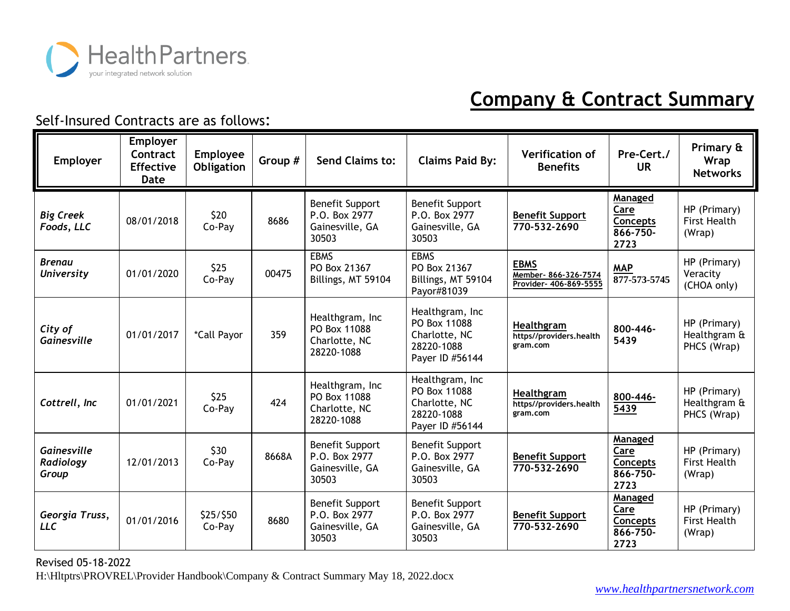

| Employer                           | Employer<br>Contract<br><b>Effective</b><br>Date | <b>Employee</b><br>Obligation | Group # | Send Claims to:                                                     | <b>Claims Paid By:</b>                                                            | <b>Verification of</b><br><b>Benefits</b>                     | Pre-Cert./<br><b>UR</b>                                | Primary &<br><b>Wrap</b><br><b>Networks</b>   |
|------------------------------------|--------------------------------------------------|-------------------------------|---------|---------------------------------------------------------------------|-----------------------------------------------------------------------------------|---------------------------------------------------------------|--------------------------------------------------------|-----------------------------------------------|
| <b>Big Creek</b><br>Foods, LLC     | 08/01/2018                                       | \$20<br>Co-Pay                | 8686    | <b>Benefit Support</b><br>P.O. Box 2977<br>Gainesville, GA<br>30503 | <b>Benefit Support</b><br>P.O. Box 2977<br>Gainesville, GA<br>30503               | <b>Benefit Support</b><br>770-532-2690                        | Managed<br>Care<br>Concepts<br>866-750-<br>2723        | HP (Primary)<br><b>First Health</b><br>(Wrap) |
| <b>Brenau</b><br><b>University</b> | 01/01/2020                                       | \$25<br>Co-Pay                | 00475   | <b>EBMS</b><br>PO Box 21367<br>Billings, MT 59104                   | <b>EBMS</b><br>PO Box 21367<br>Billings, MT 59104<br>Payor#81039                  | <b>EBMS</b><br>Member- 866-326-7574<br>Provider- 406-869-5555 | <b>MAP</b><br>877-573-5745                             | HP (Primary)<br>Veracity<br>(CHOA only)       |
| City of<br>Gainesville             | 01/01/2017                                       | *Call Payor                   | 359     | Healthgram, Inc<br>PO Box 11088<br>Charlotte, NC<br>28220-1088      | Healthgram, Inc<br>PO Box 11088<br>Charlotte, NC<br>28220-1088<br>Payer ID #56144 | Healthgram<br>https//providers.health<br>gram.com             | 800-446-<br>5439                                       | HP (Primary)<br>Healthgram &<br>PHCS (Wrap)   |
| Cottrell, Inc                      | 01/01/2021                                       | \$25<br>Co-Pay                | 424     | Healthgram, Inc<br>PO Box 11088<br>Charlotte, NC<br>28220-1088      | Healthgram, Inc<br>PO Box 11088<br>Charlotte, NC<br>28220-1088<br>Payer ID #56144 | Healthgram<br>https//providers.health<br>gram.com             | 800-446-<br>5439                                       | HP (Primary)<br>Healthgram &<br>PHCS (Wrap)   |
| Gainesville<br>Radiology<br>Group  | 12/01/2013                                       | \$30<br>Co-Pay                | 8668A   | <b>Benefit Support</b><br>P.O. Box 2977<br>Gainesville, GA<br>30503 | <b>Benefit Support</b><br>P.O. Box 2977<br>Gainesville, GA<br>30503               | <b>Benefit Support</b><br>770-532-2690                        | Managed<br>Care<br><b>Concepts</b><br>866-750-<br>2723 | HP (Primary)<br><b>First Health</b><br>(Wrap) |
| Georgia Truss,<br><b>LLC</b>       | 01/01/2016                                       | \$25/\$50<br>Co-Pay           | 8680    | <b>Benefit Support</b><br>P.O. Box 2977<br>Gainesville, GA<br>30503 | <b>Benefit Support</b><br>P.O. Box 2977<br>Gainesville, GA<br>30503               | <b>Benefit Support</b><br>770-532-2690                        | Managed<br>Care<br>Concepts<br>866-750-<br>2723        | HP (Primary)<br><b>First Health</b><br>(Wrap) |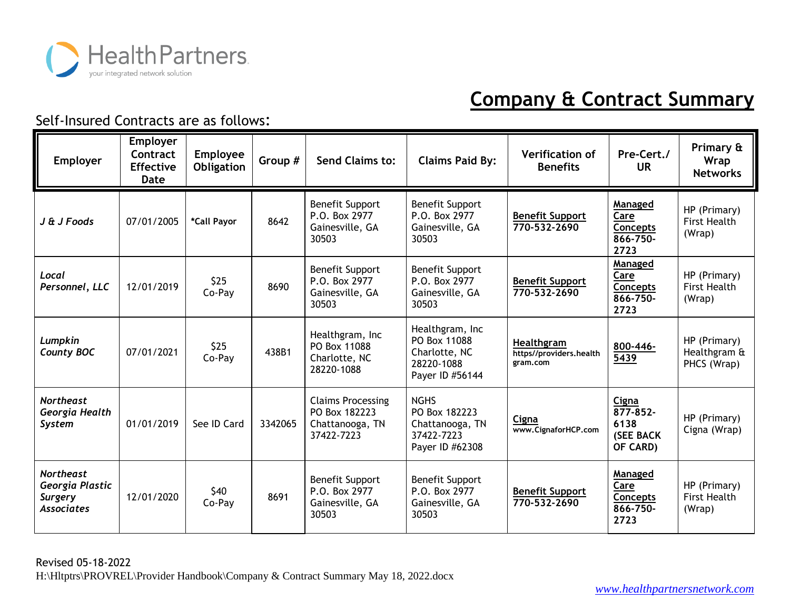

| <b>Employer</b>                                                            | <b>Employer</b><br>Contract<br><b>Effective</b><br>Date | Employee<br>Obligation | Group # | Send Claims to:                                                            | <b>Claims Paid By:</b>                                                            | <b>Verification of</b><br><b>Benefits</b>         | Pre-Cert./<br><b>UR</b>                                      | Primary &<br>Wrap<br><b>Networks</b>          |
|----------------------------------------------------------------------------|---------------------------------------------------------|------------------------|---------|----------------------------------------------------------------------------|-----------------------------------------------------------------------------------|---------------------------------------------------|--------------------------------------------------------------|-----------------------------------------------|
| J & J Foods                                                                | 07/01/2005                                              | *Call Payor            | 8642    | <b>Benefit Support</b><br>P.O. Box 2977<br>Gainesville, GA<br>30503        | <b>Benefit Support</b><br>P.O. Box 2977<br>Gainesville, GA<br>30503               | <b>Benefit Support</b><br>770-532-2690            | Managed<br>Care<br><b>Concepts</b><br>866-750-<br>2723       | HP (Primary)<br>First Health<br>(Wrap)        |
| Local<br>Personnel, LLC                                                    | 12/01/2019                                              | \$25<br>Co-Pay         | 8690    | <b>Benefit Support</b><br>P.O. Box 2977<br>Gainesville, GA<br>30503        | <b>Benefit Support</b><br>P.O. Box 2977<br>Gainesville, GA<br>30503               | <b>Benefit Support</b><br>770-532-2690            | Managed<br>Care<br><b>Concepts</b><br>866-750-<br>2723       | HP (Primary)<br>First Health<br>(Wrap)        |
| Lumpkin<br><b>County BOC</b>                                               | 07/01/2021                                              | \$25<br>Co-Pay         | 438B1   | Healthgram, Inc<br>PO Box 11088<br>Charlotte, NC<br>28220-1088             | Healthgram, Inc<br>PO Box 11088<br>Charlotte, NC<br>28220-1088<br>Payer ID #56144 | Healthgram<br>https//providers.health<br>gram.com | 800-446-<br>5439                                             | HP (Primary)<br>Healthgram &<br>PHCS (Wrap)   |
| <b>Northeast</b><br>Georgia Health<br><b>System</b>                        | 01/01/2019                                              | See ID Card            | 3342065 | <b>Claims Processing</b><br>PO Box 182223<br>Chattanooga, TN<br>37422-7223 | <b>NGHS</b><br>PO Box 182223<br>Chattanooga, TN<br>37422-7223<br>Payer ID #62308  | Cigna<br>www.CignaforHCP.com                      | Cigna<br>$877 - 852$<br>6138<br><b>(SEE BACK</b><br>OF CARD) | HP (Primary)<br>Cigna (Wrap)                  |
| <b>Northeast</b><br>Georgia Plastic<br><b>Surgery</b><br><b>Associates</b> | 12/01/2020                                              | \$40<br>Co-Pay         | 8691    | <b>Benefit Support</b><br>P.O. Box 2977<br>Gainesville, GA<br>30503        | <b>Benefit Support</b><br>P.O. Box 2977<br>Gainesville, GA<br>30503               | <b>Benefit Support</b><br>770-532-2690            | Managed<br>Care<br>Concepts<br>866-750-<br>2723              | HP (Primary)<br><b>First Health</b><br>(Wrap) |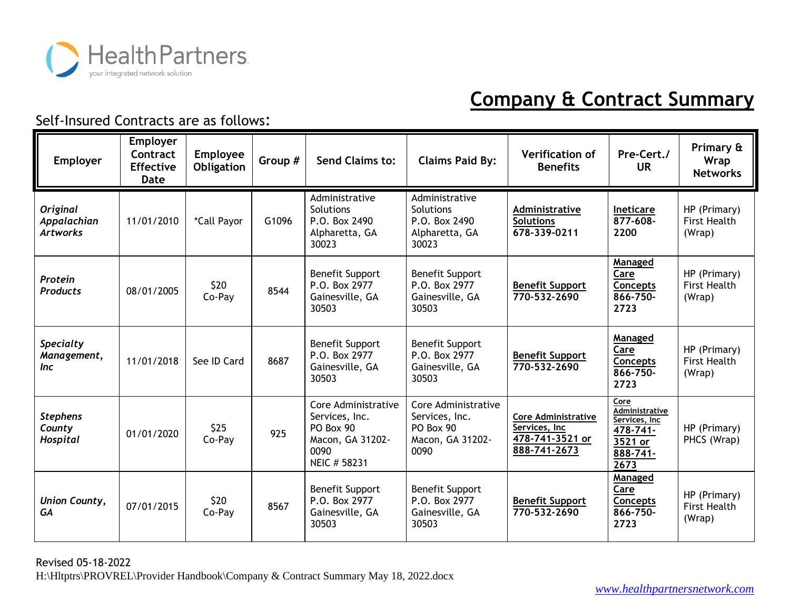

| <b>Employer</b>                                   | <b>Employer</b><br>Contract<br><b>Effective</b><br>Date | <b>Employee</b><br>Obligation | Group # | Send Claims to:                                                                                | <b>Claims Paid By:</b>                                                         | <b>Verification of</b><br><b>Benefits</b>                                      | Pre-Cert./<br><b>UR</b>                                                                   | Primary &<br>Wrap<br><b>Networks</b>          |
|---------------------------------------------------|---------------------------------------------------------|-------------------------------|---------|------------------------------------------------------------------------------------------------|--------------------------------------------------------------------------------|--------------------------------------------------------------------------------|-------------------------------------------------------------------------------------------|-----------------------------------------------|
| <b>Original</b><br>Appalachian<br><b>Artworks</b> | 11/01/2010                                              | *Call Payor                   | G1096   | Administrative<br>Solutions<br>P.O. Box 2490<br>Alpharetta, GA<br>30023                        | Administrative<br>Solutions<br>P.O. Box 2490<br>Alpharetta, GA<br>30023        | Administrative<br><b>Solutions</b><br>678-339-0211                             | Ineticare<br>$877 - 608 -$<br>2200                                                        | HP (Primary)<br><b>First Health</b><br>(Wrap) |
| Protein<br><b>Products</b>                        | 08/01/2005                                              | \$20<br>Co-Pay                | 8544    | <b>Benefit Support</b><br>P.O. Box 2977<br>Gainesville, GA<br>30503                            | <b>Benefit Support</b><br>P.O. Box 2977<br>Gainesville, GA<br>30503            | <b>Benefit Support</b><br>770-532-2690                                         | Managed<br>Care<br>Concepts<br>866-750-<br>2723                                           | HP (Primary)<br><b>First Health</b><br>(Wrap) |
| <b>Specialty</b><br>Management,<br><i>Inc</i>     | 11/01/2018                                              | See ID Card                   | 8687    | <b>Benefit Support</b><br>P.O. Box 2977<br>Gainesville, GA<br>30503                            | <b>Benefit Support</b><br>P.O. Box 2977<br>Gainesville, GA<br>30503            | <b>Benefit Support</b><br>770-532-2690                                         | Managed<br>Care<br><b>Concepts</b><br>866-750-<br>2723                                    | HP (Primary)<br><b>First Health</b><br>(Wrap) |
| <b>Stephens</b><br>County<br>Hospital             | 01/01/2020                                              | \$25<br>Co-Pay                | 925     | Core Administrative<br>Services, Inc.<br>PO Box 90<br>Macon, GA 31202-<br>0090<br>NEIC # 58231 | Core Administrative<br>Services, Inc.<br>PO Box 90<br>Macon, GA 31202-<br>0090 | <b>Core Administrative</b><br>Services, Inc<br>478-741-3521 or<br>888-741-2673 | Core<br><b>Administrative</b><br>Services, Inc<br>478-741-<br>3521 or<br>888-741-<br>2673 | HP (Primary)<br>PHCS (Wrap)                   |
| <b>Union County,</b><br>GA                        | 07/01/2015                                              | \$20<br>Co-Pay                | 8567    | <b>Benefit Support</b><br>P.O. Box 2977<br>Gainesville, GA<br>30503                            | <b>Benefit Support</b><br>P.O. Box 2977<br>Gainesville, GA<br>30503            | <b>Benefit Support</b><br>770-532-2690                                         | Managed<br>Care<br>Concepts<br>866-750-<br>2723                                           | HP (Primary)<br><b>First Health</b><br>(Wrap) |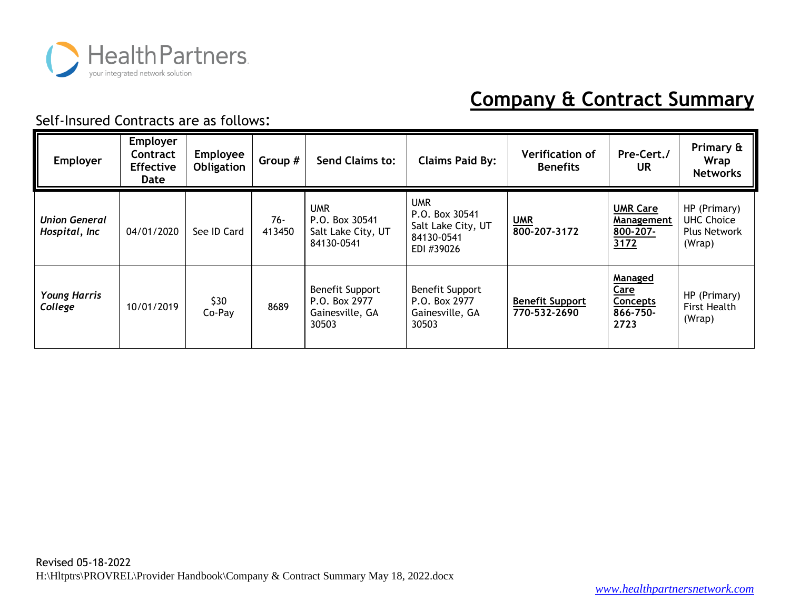

| <b>Employer</b>                       | Employer<br>Contract<br><b>Effective</b><br>Date | <b>Employee</b><br><b>Obligation</b> | Group #       | Send Claims to:                                                     | <b>Claims Paid By:</b>                                                  | <b>Verification of</b><br><b>Benefits</b> | Pre-Cert./<br>UR                                              | Primary &<br>Wrap<br><b>Networks</b>                               |
|---------------------------------------|--------------------------------------------------|--------------------------------------|---------------|---------------------------------------------------------------------|-------------------------------------------------------------------------|-------------------------------------------|---------------------------------------------------------------|--------------------------------------------------------------------|
| <b>Union General</b><br>Hospital, Inc | 04/01/2020                                       | See ID Card                          | 76-<br>413450 | <b>UMR</b><br>P.O. Box 30541<br>Salt Lake City, UT<br>84130-0541    | UMR<br>P.O. Box 30541<br>Salt Lake City, UT<br>84130-0541<br>EDI #39026 | <b>UMR</b><br>800-207-3172                | <b>UMR Care</b><br>Management<br>800-207-<br>3172             | HP (Primary)<br><b>UHC Choice</b><br><b>Plus Network</b><br>(Wrap) |
| <b>Young Harris</b><br>College        | 10/01/2019                                       | \$30<br>Co-Pay                       | 8689          | <b>Benefit Support</b><br>P.O. Box 2977<br>Gainesville, GA<br>30503 | <b>Benefit Support</b><br>P.O. Box 2977<br>Gainesville, GA<br>30503     | <b>Benefit Support</b><br>770-532-2690    | <b>Managed</b><br>Care<br><b>Concepts</b><br>866-750-<br>2723 | HP (Primary)<br><b>First Health</b><br>(Wrap)                      |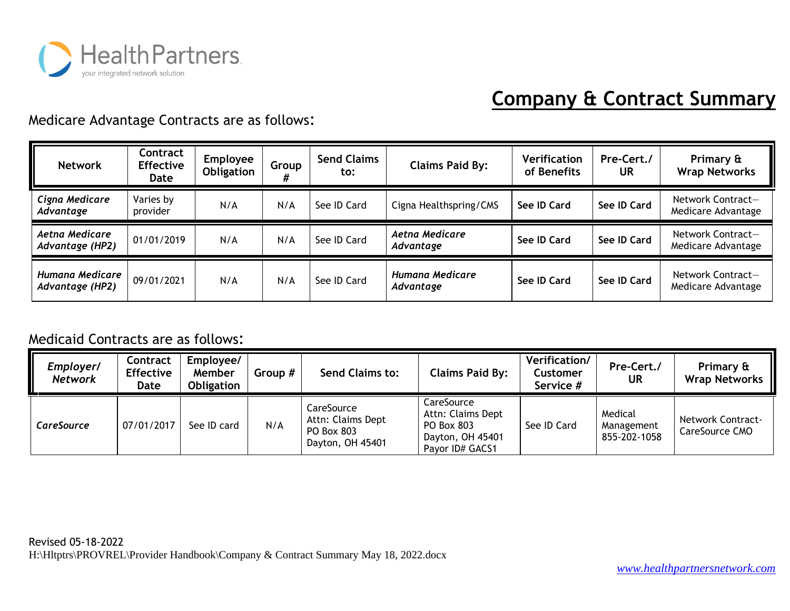

#### Medicare Advantage Contracts are as follows:

| <b>Network</b>                     | Contract<br><b>Effective</b><br>Date | <b>Employee</b><br>Obligation | Group | <b>Send Claims</b><br>to: | <b>Claims Paid By:</b>       | Verification<br>of Benefits | Pre-Cert./<br><b>UR</b> | Primary &<br><b>Wrap Networks</b>       |
|------------------------------------|--------------------------------------|-------------------------------|-------|---------------------------|------------------------------|-----------------------------|-------------------------|-----------------------------------------|
| Cigna Medicare<br>Advantage        | Varies by<br>provider                | N/A                           | N/A   | See ID Card               | Cigna Healthspring/CMS       | See ID Card                 | See ID Card             | Network Contract-<br>Medicare Advantage |
| Aetna Medicare<br>Advantage (HP2)  | 01/01/2019                           | N/A                           | N/A   | See ID Card               | Aetna Medicare<br>Advantage  | See ID Card                 | See ID Card             | Network Contract-<br>Medicare Advantage |
| Humana Medicare<br>Advantage (HP2) | 09/01/2021                           | N/A                           | N/A   | See ID Card               | Humana Medicare<br>Advantage | See ID Card                 | See ID Card             | Network Contract-<br>Medicare Advantage |

#### Medicaid Contracts are as follows:

| Employer/<br><b>Network</b> | Contract<br><b>Effective</b><br>Date | Employee/<br>Member<br><b>Obligation</b> | Group # | <b>Send Claims to:</b>                                            | <b>Claims Paid By:</b>                                                               | Verification/<br>Customer<br>Service # | Pre-Cert./<br>UR                      | Primary &<br><b>Wrap Networks</b>          |
|-----------------------------|--------------------------------------|------------------------------------------|---------|-------------------------------------------------------------------|--------------------------------------------------------------------------------------|----------------------------------------|---------------------------------------|--------------------------------------------|
| <b>CareSource</b>           | 07/01/2017                           | See ID card                              | N/A     | CareSource<br>Attn: Claims Dept<br>PO Box 803<br>Dayton, OH 45401 | CareSource<br>Attn: Claims Dept<br>PO Box 803<br>Dayton, OH 45401<br>Payor ID# GACS1 | See ID Card                            | Medical<br>Management<br>855-202-1058 | <b>Network Contract-</b><br>CareSource CMO |